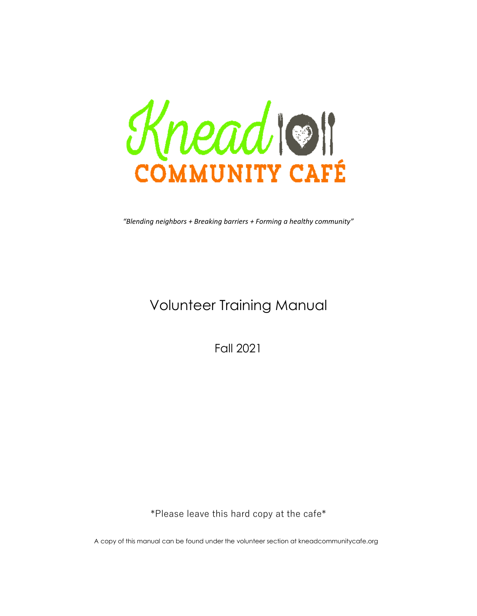Knead Off COMMUNITY CAFÉ

*"Blending neighbors + Breaking barriers + Forming a healthy community"*

# Volunteer Training Manual

Fall 2021

\*Please leave this hard copy at the cafe\*

<sup>A</sup> copy of this manual can be found under the volunteer section at kneadcommunitycafe.org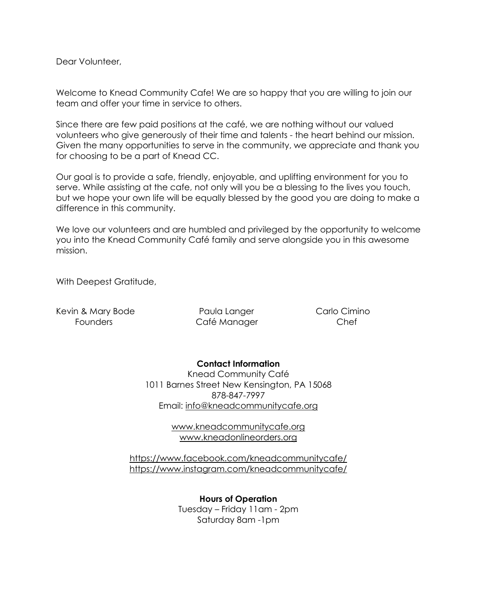Dear Volunteer,

Welcome to Knead Community Cafe! We are so happy that you are willing to join our team and offer your time in service to others.

Since there are few paid positions at the café, we are nothing without our valued volunteers who give generously of their time and talents - the heart behind our mission. Given the many opportunities to serve in the community, we appreciate and thank you for choosing to be a part of Knead CC.

Our goal is to provide a safe, friendly, enjoyable, and uplifting environment for you to serve. While assisting at the cafe, not only will you be a blessing to the lives you touch, but we hope your own life will be equally blessed by the good you are doing to make a difference in this community.

We love our volunteers and are humbled and privileged by the opportunity to welcome you into the Knead Community Café family and serve alongside you in this awesome mission.

With Deepest Gratitude,

Kevin & Mary Bode **Raula Langer** Paula Langer Carlo Cimino

Founders Café Manager Chef

**Contact Information** Knead Community Café 1011 Barnes Street New Kensington, PA 15068 878-847-7997 Email: [info@kneadcommunitycafe.org](mailto:info@kneadcommunitycafe.org)

> [www.kneadcommunitycafe.org](http://www.kneadcommunitycafe.org/) [www.kneadonlineorders.org](http://www.kneadonlineorders.org/)

<https://www.facebook.com/kneadcommunitycafe/> <https://www.instagram.com/kneadcommunitycafe/>

> **Hours of Operation** Tuesday – Friday 11am - 2pm Saturday 8am -1pm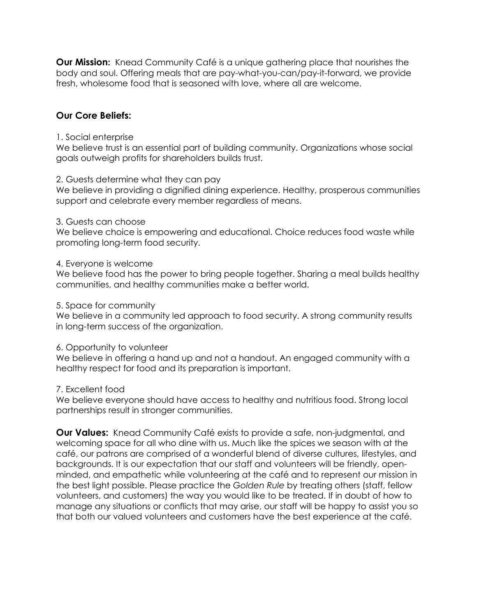**Our Mission:** Knead Community Café is a unique gathering place that nourishes the body and soul. Offering meals that are pay-what-you-can/pay-it-forward, we provide fresh, wholesome food that is seasoned with love, where all are welcome.

#### **Our Core Beliefs:**

#### 1. Social enterprise

We believe trust is an essential part of building community. Organizations whose social goals outweigh profits for shareholders builds trust.

#### 2. Guests determine what they can pay

We believe in providing a dignified dining experience. Healthy, prosperous communities support and celebrate every member regardless of means.

#### 3. Guests can choose

We believe choice is empowering and educational. Choice reduces food waste while promoting long-term food security.

#### 4. Everyone is welcome

We believe food has the power to bring people together. Sharing a meal builds healthy communities, and healthy communities make a better world.

#### 5. Space for community

We believe in a community led approach to food security. A strong community results in long-term success of the organization.

#### 6. Opportunity to volunteer

We believe in offering a hand up and not a handout. An engaged community with a healthy respect for food and its preparation is important.

#### 7. Excellent food

We believe everyone should have access to healthy and nutritious food. Strong local partnerships result in stronger communities.

**Our Values:** Knead Community Café exists to provide a safe, non-judgmental, and welcoming space for all who dine with us. Much like the spices we season with at the café, our patrons are comprised of a wonderful blend of diverse cultures, lifestyles, and backgrounds. It is our expectation that our staff and volunteers will be friendly, openminded, and empathetic while volunteering at the café and to represent our mission in the best light possible. Please practice the *Golden Rule* by treating others (staff, fellow volunteers, and customers) the way you would like to be treated. If in doubt of how to manage any situations or conflicts that may arise, our staff will be happy to assist you so that both our valued volunteers and customers have the best experience at the café.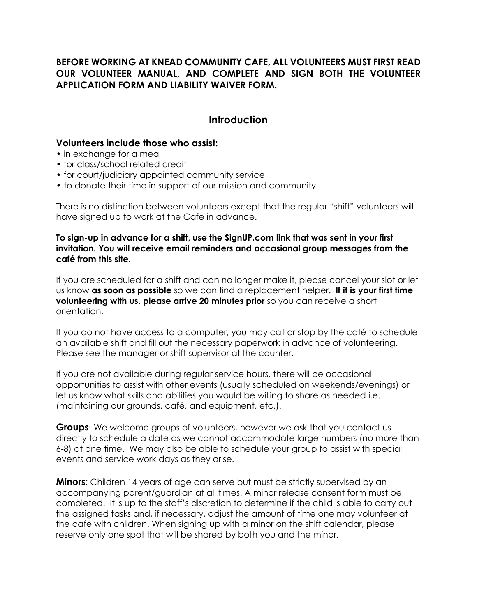## **BEFORE WORKING AT KNEAD COMMUNITY CAFE, ALL VOLUNTEERS MUST FIRST READ OUR VOLUNTEER MANUAL, AND COMPLETE AND SIGN BOTH THE VOLUNTEER APPLICATION FORM AND LIABILITY WAIVER FORM.**

## **Introduction**

#### **Volunteers include those who assist:**

- in exchange for a meal
- for class/school related credit
- for court/judiciary appointed community service
- to donate their time in support of our mission and community

There is no distinction between volunteers except that the regular "shift" volunteers will have signed up to work at the Cafe in advance.

**To sign-up in advance for a shift, use the SignUP.com link that was sent in your first invitation. You will receive email reminders and occasional group messages from the café from this site.** 

If you are scheduled for a shift and can no longer make it, please cancel your slot or let us know **as soon as possible** so we can find a replacement helper. **If it is your first time volunteering with us, please arrive 20 minutes prior** so you can receive a short orientation.

If you do not have access to a computer, you may call or stop by the café to schedule an available shift and fill out the necessary paperwork in advance of volunteering. Please see the manager or shift supervisor at the counter.

If you are not available during regular service hours, there will be occasional opportunities to assist with other events (usually scheduled on weekends/evenings) or let us know what skills and abilities you would be willing to share as needed i.e. (maintaining our grounds, café, and equipment, etc.).

**Groups**: We welcome groups of volunteers, however we ask that you contact us directly to schedule a date as we cannot accommodate large numbers (no more than 6-8) at one time. We may also be able to schedule your group to assist with special events and service work days as they arise.

**Minors**: Children 14 years of age can serve but must be strictly supervised by an accompanying parent/guardian at all times. A minor release consent form must be completed. It is up to the staff's discretion to determine if the child is able to carry out the assigned tasks and, if necessary, adjust the amount of time one may volunteer at the cafe with children. When signing up with a minor on the shift calendar, please reserve only one spot that will be shared by both you and the minor.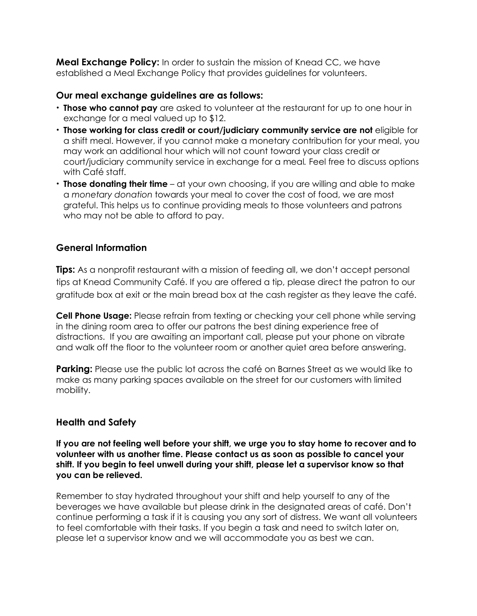**Meal Exchange Policy:** In order to sustain the mission of Knead CC, we have established a Meal Exchange Policy that provides guidelines for volunteers.

#### **Our meal exchange guidelines are as follows:**

- **Those who cannot pay** are asked to volunteer at the restaurant for up to one hour in exchange for a meal valued up to \$12.
- **Those working for class credit or court/judiciary community service are not** eligible for a shift meal. However, if you cannot make a monetary contribution for your meal, you may work an additional hour which will not count toward your class credit or court/judiciary community service in exchange for a meal*.* Feel free to discuss options with Café staff.
- **Those donating their time** at your own choosing, if you are willing and able to make a *monetary donation* towards your meal to cover the cost of food, we are most grateful. This helps us to continue providing meals to those volunteers and patrons who may not be able to afford to pay.

## **General Information**

**Tips:** As a nonprofit restaurant with a mission of feeding all, we don't accept personal tips at Knead Community Café. If you are offered a tip, please direct the patron to our gratitude box at exit or the main bread box at the cash register as they leave the café.

**Cell Phone Usage:** Please refrain from texting or checking your cell phone while serving in the dining room area to offer our patrons the best dining experience free of distractions. If you are awaiting an important call, please put your phone on vibrate and walk off the floor to the volunteer room or another quiet area before answering.

**Parking:** Please use the public lot across the café on Barnes Street as we would like to make as many parking spaces available on the street for our customers with limited mobility.

## **Health and Safety**

**If you are not feeling well before your shift, we urge you to stay home to recover and to volunteer with us another time. Please contact us as soon as possible to cancel your shift. If you begin to feel unwell during your shift, please let a supervisor know so that you can be relieved.**

Remember to stay hydrated throughout your shift and help yourself to any of the beverages we have available but please drink in the designated areas of café. Don't continue performing a task if it is causing you any sort of distress. We want all volunteers to feel comfortable with their tasks. If you begin a task and need to switch later on, please let a supervisor know and we will accommodate you as best we can.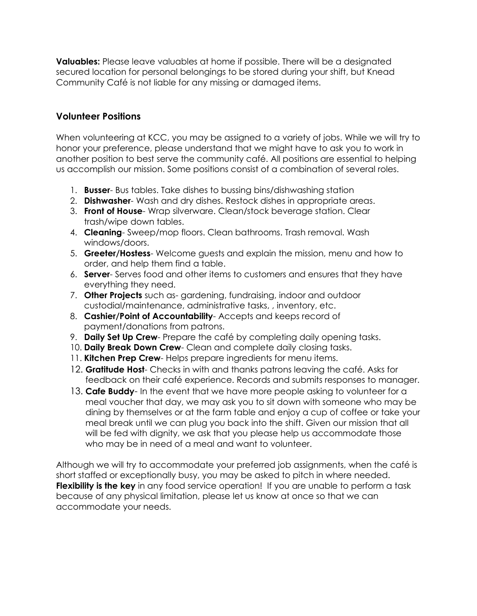**Valuables:** Please leave valuables at home if possible. There will be a designated secured location for personal belongings to be stored during your shift, but Knead Community Café is not liable for any missing or damaged items.

#### **Volunteer Positions**

When volunteering at KCC, you may be assigned to a variety of jobs. While we will try to honor your preference, please understand that we might have to ask you to work in another position to best serve the community café. All positions are essential to helping us accomplish our mission. Some positions consist of a combination of several roles.

- 1. **Busser** Bus tables. Take dishes to bussing bins/dishwashing station
- 2. **Dishwasher** Wash and dry dishes. Restock dishes in appropriate areas.
- 3. **Front of House** Wrap silverware. Clean/stock beverage station. Clear trash/wipe down tables.
- 4. **Cleaning** Sweep/mop floors. Clean bathrooms. Trash removal. Wash windows/doors.
- 5. **Greeter/Hostess** Welcome guests and explain the mission, menu and how to order, and help them find a table.
- 6. **Server** Serves food and other items to customers and ensures that they have everything they need.
- 7. **Other Projects** such as- gardening, fundraising, indoor and outdoor custodial/maintenance, administrative tasks, , inventory, etc.
- 8. **Cashier/Point of Accountability** Accepts and keeps record of payment/donations from patrons.
- 9. **Daily Set Up Crew** Prepare the café by completing daily opening tasks.
- 10. **Daily Break Down Crew** Clean and complete daily closing tasks.
- 11. **Kitchen Prep Crew** Helps prepare ingredients for menu items.
- 12. **Gratitude Host** Checks in with and thanks patrons leaving the café. Asks for feedback on their café experience. Records and submits responses to manager.
- 13. **Cafe Buddy** In the event that we have more people asking to volunteer for a meal voucher that day, we may ask you to sit down with someone who may be dining by themselves or at the farm table and enjoy a cup of coffee or take your meal break until we can plug you back into the shift. Given our mission that all will be fed with dignity, we ask that you please help us accommodate those who may be in need of a meal and want to volunteer.

Although we will try to accommodate your preferred job assignments, when the café is short staffed or exceptionally busy, you may be asked to pitch in where needed. **Flexibility is the key** in any food service operation! If you are unable to perform a task because of any physical limitation, please let us know at once so that we can accommodate your needs.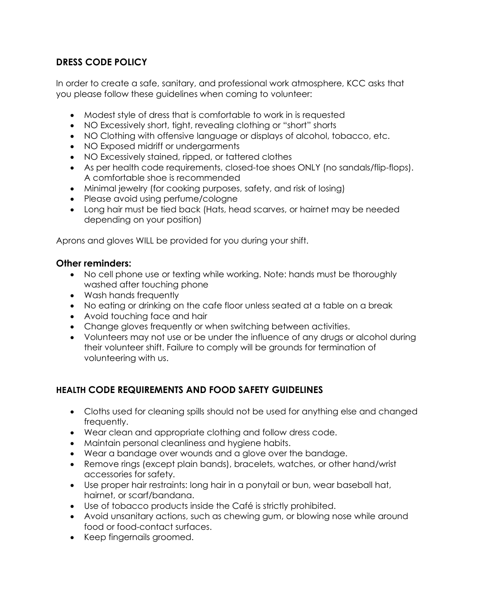# **DRESS CODE POLICY**

In order to create a safe, sanitary, and professional work atmosphere, KCC asks that you please follow these guidelines when coming to volunteer:

- Modest style of dress that is comfortable to work in is requested
- NO Excessively short, tight, revealing clothing or "short" shorts
- NO Clothing with offensive language or displays of alcohol, tobacco, etc.
- NO Exposed midriff or undergarments
- NO Excessively stained, ripped, or tattered clothes
- As per health code requirements, closed-toe shoes ONLY (no sandals/flip-flops). A comfortable shoe is recommended
- Minimal jewelry (for cooking purposes, safety, and risk of losing)
- Please avoid using perfume/cologne
- Long hair must be tied back (Hats, head scarves, or hairnet may be needed depending on your position)

Aprons and gloves WILL be provided for you during your shift.

## **Other reminders:**

- No cell phone use or texting while working. Note: hands must be thoroughly washed after touching phone
- Wash hands frequently
- No eating or drinking on the cafe floor unless seated at a table on a break
- Avoid touching face and hair
- Change gloves frequently or when switching between activities.
- Volunteers may not use or be under the influence of any drugs or alcohol during their volunteer shift. Failure to comply will be grounds for termination of volunteering with us.

# **HEALTH CODE REQUIREMENTS AND FOOD SAFETY GUIDELINES**

- Cloths used for cleaning spills should not be used for anything else and changed frequently.
- Wear clean and appropriate clothing and follow dress code.
- Maintain personal cleanliness and hygiene habits.
- Wear a bandage over wounds and a glove over the bandage.
- Remove rings (except plain bands), bracelets, watches, or other hand/wrist accessories for safety.
- Use proper hair restraints: long hair in a ponytail or bun, wear baseball hat, hairnet, or scarf/bandana.
- Use of tobacco products inside the Café is strictly prohibited.
- Avoid unsanitary actions, such as chewing gum, or blowing nose while around food or food-contact surfaces.
- Keep fingernails groomed.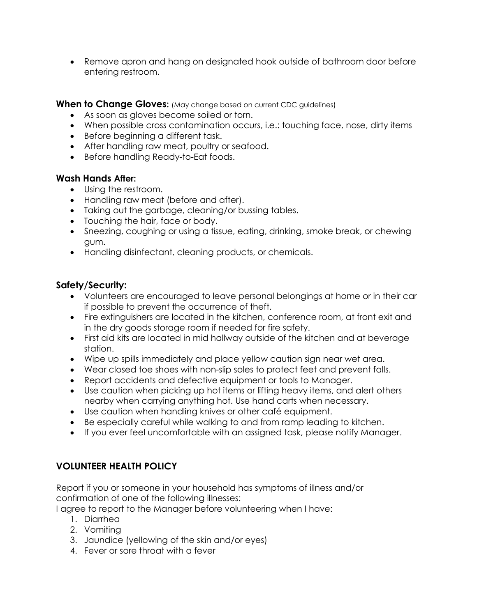• Remove apron and hang on designated hook outside of bathroom door before entering restroom.

**When to Change Gloves:** (May change based on current CDC guidelines)

- As soon as gloves become soiled or torn.
- When possible cross contamination occurs, i.e.: touching face, nose, dirty items
- Before beginning a different task.
- After handling raw meat, poultry or seafood.
- Before handling Ready-to-Eat foods.

#### **Wash Hands After:**

- Using the restroom.
- Handling raw meat (before and after).
- Taking out the garbage, cleaning/or bussing tables.
- Touching the hair, face or body.
- Sneezing, coughing or using a tissue, eating, drinking, smoke break, or chewing gum.
- Handling disinfectant, cleaning products, or chemicals.

## **Safety/Security:**

- Volunteers are encouraged to leave personal belongings at home or in their car if possible to prevent the occurrence of theft.
- Fire extinguishers are located in the kitchen, conference room, at front exit and in the dry goods storage room if needed for fire safety.
- First aid kits are located in mid hallway outside of the kitchen and at beverage station.
- Wipe up spills immediately and place yellow caution sign near wet area.
- Wear closed toe shoes with non-slip soles to protect feet and prevent falls.
- Report accidents and defective equipment or tools to Manager.
- Use caution when picking up hot items or lifting heavy items, and alert others nearby when carrying anything hot. Use hand carts when necessary.
- Use caution when handling knives or other café equipment.
- Be especially careful while walking to and from ramp leading to kitchen.
- If you ever feel uncomfortable with an assigned task, please notify Manager.

# **VOLUNTEER HEALTH POLICY**

Report if you or someone in your household has symptoms of illness and/or confirmation of one of the following illnesses:

I agree to report to the Manager before volunteering when I have:

- 1. Diarrhea
- 2. Vomiting
- 3. Jaundice (yellowing of the skin and/or eyes)
- 4. Fever or sore throat with a fever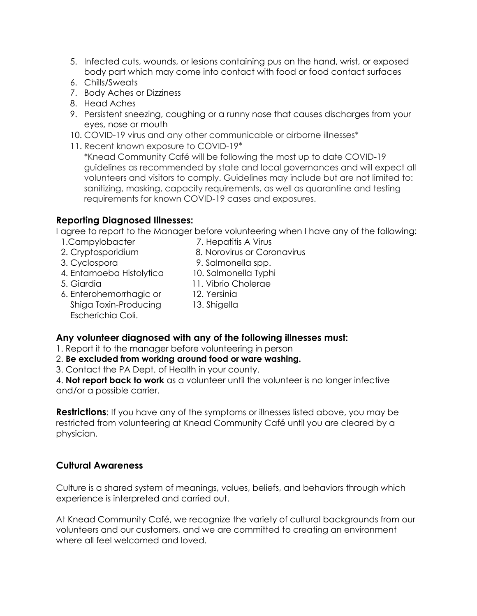- 5. Infected cuts, wounds, or lesions containing pus on the hand, wrist, or exposed body part which may come into contact with food or food contact surfaces
- 6. Chills/Sweats
- 7. Body Aches or Dizziness
- 8. Head Aches
- 9. Persistent sneezing, coughing or a runny nose that causes discharges from your eyes, nose or mouth
- 10. COVID-19 virus and any other communicable or airborne illnesses\*
- 11. Recent known exposure to COVID-19\*

\*Knead Community Café will be following the most up to date COVID-19 guidelines as recommended by state and local governances and will expect all volunteers and visitors to comply. Guidelines may include but are not limited to: sanitizing, masking, capacity requirements, as well as quarantine and testing requirements for known COVID-19 cases and exposures.

## **Reporting Diagnosed Illnesses:**

I agree to report to the Manager before volunteering when I have any of the following:

- 
- 1. Campylobacter 7. Hepatitis A Virus
- 2. Cryptosporidium 8. Norovirus or Coronavirus

Escherichia Coli.

- 
- 3. Cyclospora 9. Salmonella spp. 4. Entamoeba Histolytica 10. Salmonella Typhi
- 5. Giardia 11. Vibrio Cholerae
- 
- 6. Enterohemorrhagic or 12. Yersinia
	- Shiga Toxin-Producing 13. Shigella
- **Any volunteer diagnosed with any of the following illnesses must:**
- 1. Report it to the manager before volunteering in person
- 2. **Be excluded from working around food or ware washing.**
- 3. Contact the PA Dept. of Health in your county.

4. **Not report back to work** as a volunteer until the volunteer is no longer infective and/or a possible carrier.

**Restrictions**: If you have any of the symptoms or illnesses listed above, you may be restricted from volunteering at Knead Community Café until you are cleared by a physician.

## **Cultural Awareness**

Culture is a shared system of meanings, values, beliefs, and behaviors through which experience is interpreted and carried out.

At Knead Community Café, we recognize the variety of cultural backgrounds from our volunteers and our customers, and we are committed to creating an environment where all feel welcomed and loved.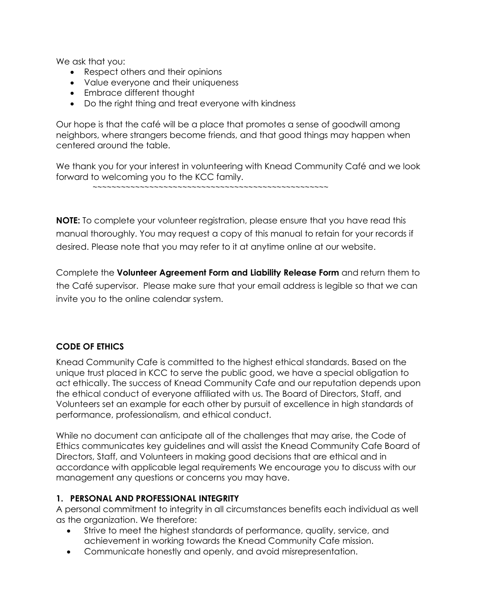We ask that you:

- Respect others and their opinions
- Value everyone and their uniqueness
- Embrace different thought
- Do the right thing and treat everyone with kindness

Our hope is that the café will be a place that promotes a sense of goodwill among neighbors, where strangers become friends, and that good things may happen when centered around the table.

We thank you for your interest in volunteering with Knead Community Café and we look forward to welcoming you to the KCC family.

```
 ~~~~~~~~~~~~~~~~~~~~~~~~~~~~~~~~~~~~~~~~~~~~~~~~~~
```
**NOTE:** To complete your volunteer registration, please ensure that you have read this manual thoroughly. You may request a copy of this manual to retain for your records if desired. Please note that you may refer to it at anytime online at our website.

Complete the **Volunteer Agreement Form and Liability Release Form** and return them to the Café supervisor. Please make sure that your email address is legible so that we can invite you to the online calendar system.

## **CODE OF ETHICS**

Knead Community Cafe is committed to the highest ethical standards. Based on the unique trust placed in KCC to serve the public good, we have a special obligation to act ethically. The success of Knead Community Cafe and our reputation depends upon the ethical conduct of everyone affiliated with us. The Board of Directors, Staff, and Volunteers set an example for each other by pursuit of excellence in high standards of performance, professionalism, and ethical conduct.

While no document can anticipate all of the challenges that may arise, the Code of Ethics communicates key guidelines and will assist the Knead Community Cafe Board of Directors, Staff, and Volunteers in making good decisions that are ethical and in accordance with applicable legal requirements We encourage you to discuss with our management any questions or concerns you may have.

#### **1. PERSONAL AND PROFESSIONAL INTEGRITY**

A personal commitment to integrity in all circumstances benefits each individual as well as the organization. We therefore:

- Strive to meet the highest standards of performance, quality, service, and achievement in working towards the Knead Community Cafe mission.
- Communicate honestly and openly, and avoid misrepresentation.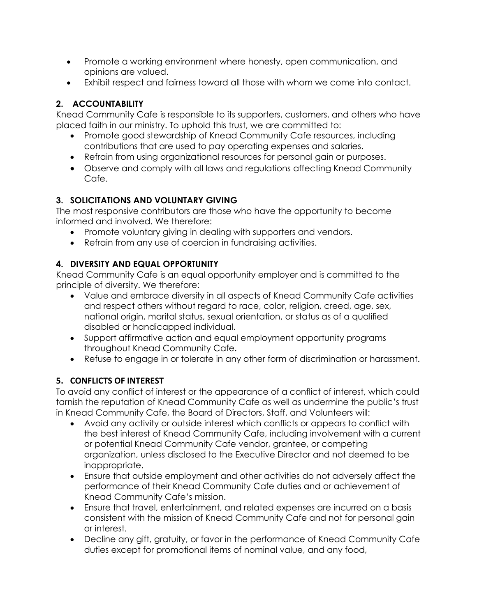- Promote a working environment where honesty, open communication, and opinions are valued.
- Exhibit respect and fairness toward all those with whom we come into contact.

# **2. ACCOUNTABILITY**

Knead Community Cafe is responsible to its supporters, customers, and others who have placed faith in our ministry. To uphold this trust, we are committed to:

- Promote good stewardship of Knead Community Cafe resources, including contributions that are used to pay operating expenses and salaries.
- Refrain from using organizational resources for personal gain or purposes.
- Observe and comply with all laws and regulations affecting Knead Community Cafe.

# **3. SOLICITATIONS AND VOLUNTARY GIVING**

The most responsive contributors are those who have the opportunity to become informed and involved. We therefore:

- Promote voluntary giving in dealing with supporters and vendors.
- Refrain from any use of coercion in fundraising activities.

# **4. DIVERSITY AND EQUAL OPPORTUNITY**

Knead Community Cafe is an equal opportunity employer and is committed to the principle of diversity. We therefore:

- Value and embrace diversity in all aspects of Knead Community Cafe activities and respect others without regard to race, color, religion, creed, age, sex, national origin, marital status, sexual orientation, or status as of a qualified disabled or handicapped individual.
- Support affirmative action and equal employment opportunity programs throughout Knead Community Cafe.
- Refuse to engage in or tolerate in any other form of discrimination or harassment.

# **5. CONFLICTS OF INTEREST**

To avoid any conflict of interest or the appearance of a conflict of interest, which could tarnish the reputation of Knead Community Cafe as well as undermine the public's trust in Knead Community Cafe, the Board of Directors, Staff, and Volunteers will:

- Avoid any activity or outside interest which conflicts or appears to conflict with the best interest of Knead Community Cafe, including involvement with a current or potential Knead Community Cafe vendor, grantee, or competing organization, unless disclosed to the Executive Director and not deemed to be inappropriate.
- Ensure that outside employment and other activities do not adversely affect the performance of their Knead Community Cafe duties and or achievement of Knead Community Cafe's mission.
- Ensure that travel, entertainment, and related expenses are incurred on a basis consistent with the mission of Knead Community Cafe and not for personal gain or interest.
- Decline any gift, gratuity, or favor in the performance of Knead Community Cafe duties except for promotional items of nominal value, and any food,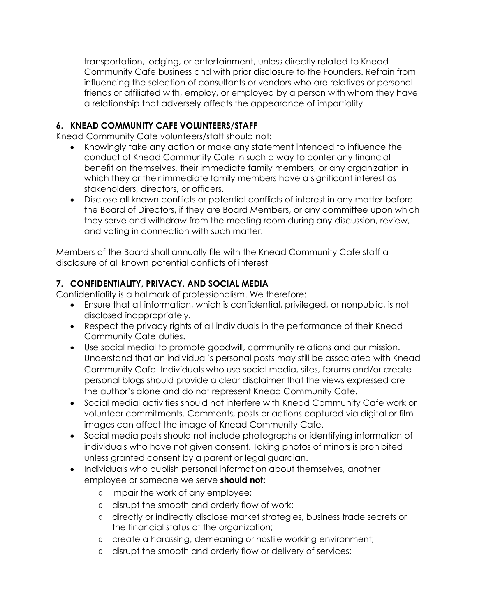transportation, lodging, or entertainment, unless directly related to Knead Community Cafe business and with prior disclosure to the Founders. Refrain from influencing the selection of consultants or vendors who are relatives or personal friends or affiliated with, employ, or employed by a person with whom they have a relationship that adversely affects the appearance of impartiality.

#### **6. KNEAD COMMUNITY CAFE VOLUNTEERS/STAFF**

Knead Community Cafe volunteers/staff should not:

- Knowingly take any action or make any statement intended to influence the conduct of Knead Community Cafe in such a way to confer any financial benefit on themselves, their immediate family members, or any organization in which they or their immediate family members have a significant interest as stakeholders, directors, or officers.
- Disclose all known conflicts or potential conflicts of interest in any matter before the Board of Directors, if they are Board Members, or any committee upon which they serve and withdraw from the meeting room during any discussion, review, and voting in connection with such matter.

Members of the Board shall annually file with the Knead Community Cafe staff a disclosure of all known potential conflicts of interest

## **7. CONFIDENTIALITY, PRIVACY, AND SOCIAL MEDIA**

Confidentiality is a hallmark of professionalism. We therefore:

- Ensure that all information, which is confidential, privileged, or nonpublic, is not disclosed inappropriately.
- Respect the privacy rights of all individuals in the performance of their Knead Community Cafe duties.
- Use social medial to promote goodwill, community relations and our mission. Understand that an individual's personal posts may still be associated with Knead Community Cafe. Individuals who use social media, sites, forums and/or create personal blogs should provide a clear disclaimer that the views expressed are the author's alone and do not represent Knead Community Cafe.
- Social medial activities should not interfere with Knead Community Cafe work or volunteer commitments. Comments, posts or actions captured via digital or film images can affect the image of Knead Community Cafe.
- Social media posts should not include photographs or identifying information of individuals who have not given consent. Taking photos of minors is prohibited unless granted consent by a parent or legal guardian.
- Individuals who publish personal information about themselves, another employee or someone we serve **should not:**
	- o impair the work of any employee;
	- o disrupt the smooth and orderly flow of work;
	- o directly or indirectly disclose market strategies, business trade secrets or the financial status of the organization;
	- o create a harassing, demeaning or hostile working environment;
	- o disrupt the smooth and orderly flow or delivery of services;